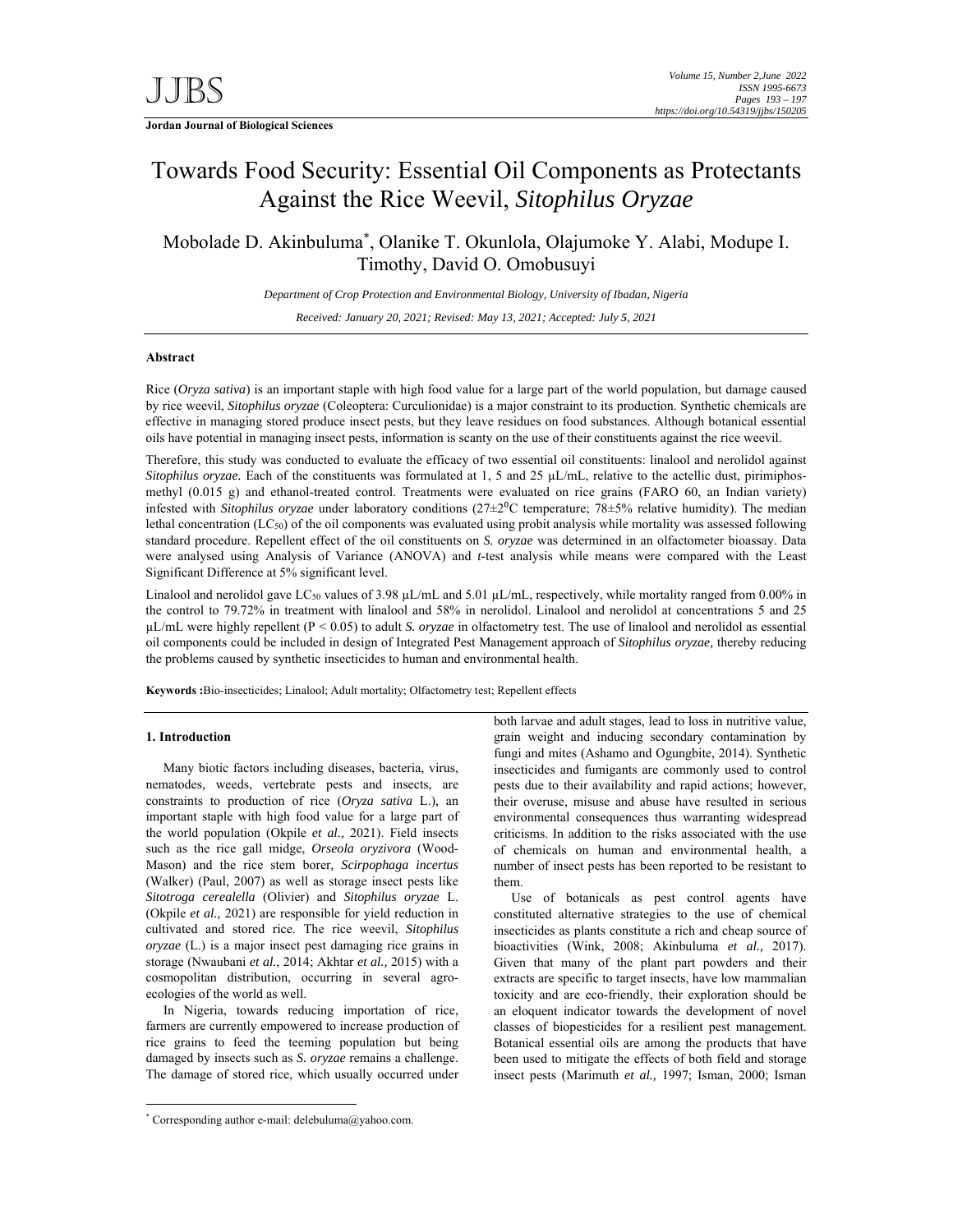**Jordan Journal of Biological Sciences** 

# Towards Food Security: Essential Oil Components as Protectants Against the Rice Weevil, *Sitophilus Oryzae*

Mobolade D. Akinbuluma\* , Olanike T. Okunlola, Olajumoke Y. Alabi, Modupe I. Timothy, David O. Omobusuyi

*Department of Crop Protection and Environmental Biology, University of Ibadan, Nigeria* 

*Received: January 20, 2021; Revised: May 13, 2021; Accepted: July 5, 2021*

# **Abstract**

Rice (*Oryza sativa*) is an important staple with high food value for a large part of the world population, but damage caused by rice weevil, *Sitophilus oryzae* (Coleoptera: Curculionidae) is a major constraint to its production. Synthetic chemicals are effective in managing stored produce insect pests, but they leave residues on food substances. Although botanical essential oils have potential in managing insect pests, information is scanty on the use of their constituents against the rice weevil.

Therefore, this study was conducted to evaluate the efficacy of two essential oil constituents: linalool and nerolidol against *Sitophilus oryzae*. Each of the constituents was formulated at 1, 5 and 25 µL/mL, relative to the actellic dust, pirimiphosmethyl (0.015 g) and ethanol-treated control. Treatments were evaluated on rice grains (FARO 60, an Indian variety) infested with *Sitophilus oryzae* under laboratory conditions (27±2<sup>o</sup>C temperature; 78±5% relative humidity). The median lethal concentration (LC50) of the oil components was evaluated using probit analysis while mortality was assessed following standard procedure. Repellent effect of the oil constituents on *S. oryzae* was determined in an olfactometer bioassay. Data were analysed using Analysis of Variance (ANOVA) and *t*-test analysis while means were compared with the Least Significant Difference at 5% significant level.

Linalool and nerolidol gave LC<sub>50</sub> values of 3.98  $\mu$ L/mL and 5.01  $\mu$ L/mL, respectively, while mortality ranged from 0.00% in the control to 79.72% in treatment with linalool and 58% in nerolidol. Linalool and nerolidol at concentrations 5 and 25 µL/mL were highly repellent (P < 0.05) to adult *S. oryzae* in olfactometry test. The use of linalool and nerolidol as essential oil components could be included in design of Integrated Pest Management approach of *Sitophilus oryzae,* thereby reducing the problems caused by synthetic insecticides to human and environmental health.

**Keywords :**Bio-insecticides; Linalool; Adult mortality; Olfactometry test; Repellent effects

# **1. Introduction**

-

Many biotic factors including diseases, bacteria, virus, nematodes, weeds, vertebrate pests and insects, are constraints to production of rice (*Oryza sativa* L.), an important staple with high food value for a large part of the world population (Okpile *et al.,* 2021). Field insects such as the rice gall midge, *Orseola oryzivora* (Wood-Mason) and the rice stem borer*, Scirpophaga incertus*  (Walker) (Paul, 2007) as well as storage insect pests like *Sitotroga cerealella* (Olivier) and *Sitophilus oryzae* L. (Okpile *et al.,* 2021) are responsible for yield reduction in cultivated and stored rice. The rice weevil, *Sitophilus oryzae* (L.) is a major insect pest damaging rice grains in storage (Nwaubani *et al.*, 2014; Akhtar *et al.,* 2015) with a cosmopolitan distribution, occurring in several agroecologies of the world as well.

In Nigeria, towards reducing importation of rice, farmers are currently empowered to increase production of rice grains to feed the teeming population but being damaged by insects such as *S. oryzae* remains a challenge. The damage of stored rice, which usually occurred under

\* Corresponding author e-mail: delebuluma@yahoo.com.

both larvae and adult stages, lead to loss in nutritive value, grain weight and inducing secondary contamination by fungi and mites (Ashamo and Ogungbite, 2014). Synthetic insecticides and fumigants are commonly used to control pests due to their availability and rapid actions; however, their overuse, misuse and abuse have resulted in serious environmental consequences thus warranting widespread criticisms. In addition to the risks associated with the use of chemicals on human and environmental health, a number of insect pests has been reported to be resistant to them.

Use of botanicals as pest control agents have constituted alternative strategies to the use of chemical insecticides as plants constitute a rich and cheap source of bioactivities (Wink, 2008; Akinbuluma *et al.,* 2017). Given that many of the plant part powders and their extracts are specific to target insects, have low mammalian toxicity and are eco-friendly, their exploration should be an eloquent indicator towards the development of novel classes of biopesticides for a resilient pest management. Botanical essential oils are among the products that have been used to mitigate the effects of both field and storage insect pests (Marimuth *et al.,* 1997; Isman, 2000; Isman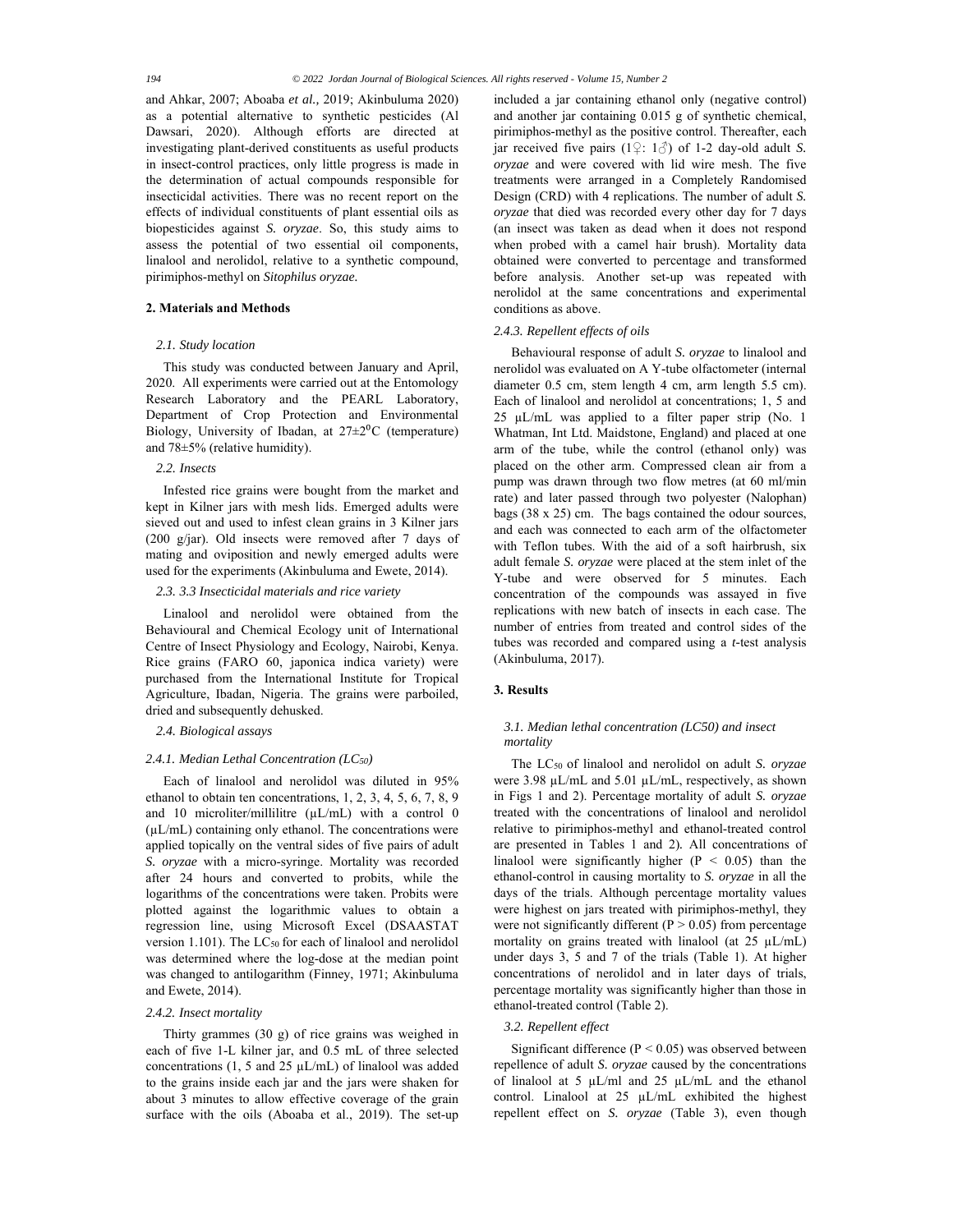and Ahkar, 2007; Aboaba *et al.,* 2019; Akinbuluma 2020) as a potential alternative to synthetic pesticides (Al Dawsari, 2020). Although efforts are directed at investigating plant-derived constituents as useful products in insect-control practices, only little progress is made in the determination of actual compounds responsible for insecticidal activities. There was no recent report on the effects of individual constituents of plant essential oils as biopesticides against *S. oryzae*. So, this study aims to assess the potential of two essential oil components, linalool and nerolidol, relative to a synthetic compound, pirimiphos-methyl on *Sitophilus oryzae.*

# **2. Materials and Methods**

## *2.1. Study location*

This study was conducted between January and April, 2020. All experiments were carried out at the Entomology Research Laboratory and the PEARL Laboratory, Department of Crop Protection and Environmental Biology, University of Ibadan, at  $27 \pm 2^{0}C$  (temperature) and 78±5% (relative humidity).

# *2.2. Insects*

Infested rice grains were bought from the market and kept in Kilner jars with mesh lids. Emerged adults were sieved out and used to infest clean grains in 3 Kilner jars (200 g/jar). Old insects were removed after 7 days of mating and oviposition and newly emerged adults were used for the experiments (Akinbuluma and Ewete, 2014).

# *2.3. 3.3 Insecticidal materials and rice variety*

Linalool and nerolidol were obtained from the Behavioural and Chemical Ecology unit of International Centre of Insect Physiology and Ecology, Nairobi, Kenya. Rice grains (FARO 60, japonica indica variety) were purchased from the International Institute for Tropical Agriculture, Ibadan, Nigeria. The grains were parboiled, dried and subsequently dehusked.

### *2.4. Biological assays*

# *2.4.1. Median Lethal Concentration (LC50)*

Each of linalool and nerolidol was diluted in 95% ethanol to obtain ten concentrations, 1, 2, 3, 4, 5, 6, 7, 8, 9 and 10 microliter/millilitre  $(\mu L/mL)$  with a control 0  $(\mu L/mL)$  containing only ethanol. The concentrations were applied topically on the ventral sides of five pairs of adult *S. oryzae* with a micro-syringe. Mortality was recorded after 24 hours and converted to probits, while the logarithms of the concentrations were taken. Probits were plotted against the logarithmic values to obtain a regression line, using Microsoft Excel (DSAASTAT version 1.101). The LC<sub>50</sub> for each of linalool and nerolidol was determined where the log-dose at the median point was changed to antilogarithm (Finney, 1971; Akinbuluma and Ewete, 2014).

#### *2.4.2. Insect mortality*

Thirty grammes (30 g) of rice grains was weighed in each of five 1-L kilner jar, and 0.5 mL of three selected concentrations (1, 5 and 25  $\mu$ L/mL) of linalool was added to the grains inside each jar and the jars were shaken for about 3 minutes to allow effective coverage of the grain surface with the oils (Aboaba et al., 2019). The set-up

included a jar containing ethanol only (negative control) and another jar containing 0.015 g of synthetic chemical, pirimiphos-methyl as the positive control. Thereafter, each jar received five pairs  $(1 \nsubseteq 1 \nsubseteq)$  of 1-2 day-old adult *S*. *oryzae* and were covered with lid wire mesh. The five treatments were arranged in a Completely Randomised Design (CRD) with 4 replications. The number of adult *S. oryzae* that died was recorded every other day for 7 days (an insect was taken as dead when it does not respond when probed with a camel hair brush). Mortality data obtained were converted to percentage and transformed before analysis. Another set-up was repeated with nerolidol at the same concentrations and experimental conditions as above.

## *2.4.3. Repellent effects of oils*

Behavioural response of adult *S. oryzae* to linalool and nerolidol was evaluated on A Y-tube olfactometer (internal diameter 0.5 cm, stem length 4 cm, arm length 5.5 cm). Each of linalool and nerolidol at concentrations; 1, 5 and 25 µL/mL was applied to a filter paper strip (No. 1 Whatman, Int Ltd. Maidstone, England) and placed at one arm of the tube, while the control (ethanol only) was placed on the other arm. Compressed clean air from a pump was drawn through two flow metres (at 60 ml/min rate) and later passed through two polyester (Nalophan) bags (38 x 25) cm. The bags contained the odour sources, and each was connected to each arm of the olfactometer with Teflon tubes. With the aid of a soft hairbrush, six adult female *S. oryzae* were placed at the stem inlet of the Y-tube and were observed for 5 minutes. Each concentration of the compounds was assayed in five replications with new batch of insects in each case. The number of entries from treated and control sides of the tubes was recorded and compared using a *t-*test analysis (Akinbuluma, 2017).

# **3. Results**

# *3.1. Median lethal concentration (LC50) and insect mortality*

The LC50 of linalool and nerolidol on adult *S. oryzae*  were 3.98 µL/mL and 5.01 µL/mL, respectively, as shown in Figs 1 and 2). Percentage mortality of adult *S. oryzae*  treated with the concentrations of linalool and nerolidol relative to pirimiphos-methyl and ethanol-treated control are presented in Tables 1 and 2)*.* All concentrations of linalool were significantly higher  $(P < 0.05)$  than the ethanol-control in causing mortality to *S. oryzae* in all the days of the trials. Although percentage mortality values were highest on jars treated with pirimiphos-methyl, they were not significantly different ( $P > 0.05$ ) from percentage mortality on grains treated with linalool (at 25 µL/mL) under days 3, 5 and 7 of the trials (Table 1). At higher concentrations of nerolidol and in later days of trials, percentage mortality was significantly higher than those in ethanol-treated control (Table 2).

# *3.2. Repellent effect*

Significant difference  $(P < 0.05)$  was observed between repellence of adult *S. oryzae* caused by the concentrations of linalool at 5  $\mu$ L/ml and 25  $\mu$ L/mL and the ethanol control. Linalool at 25 µL/mL exhibited the highest repellent effect on *S. oryzae* (Table 3), even though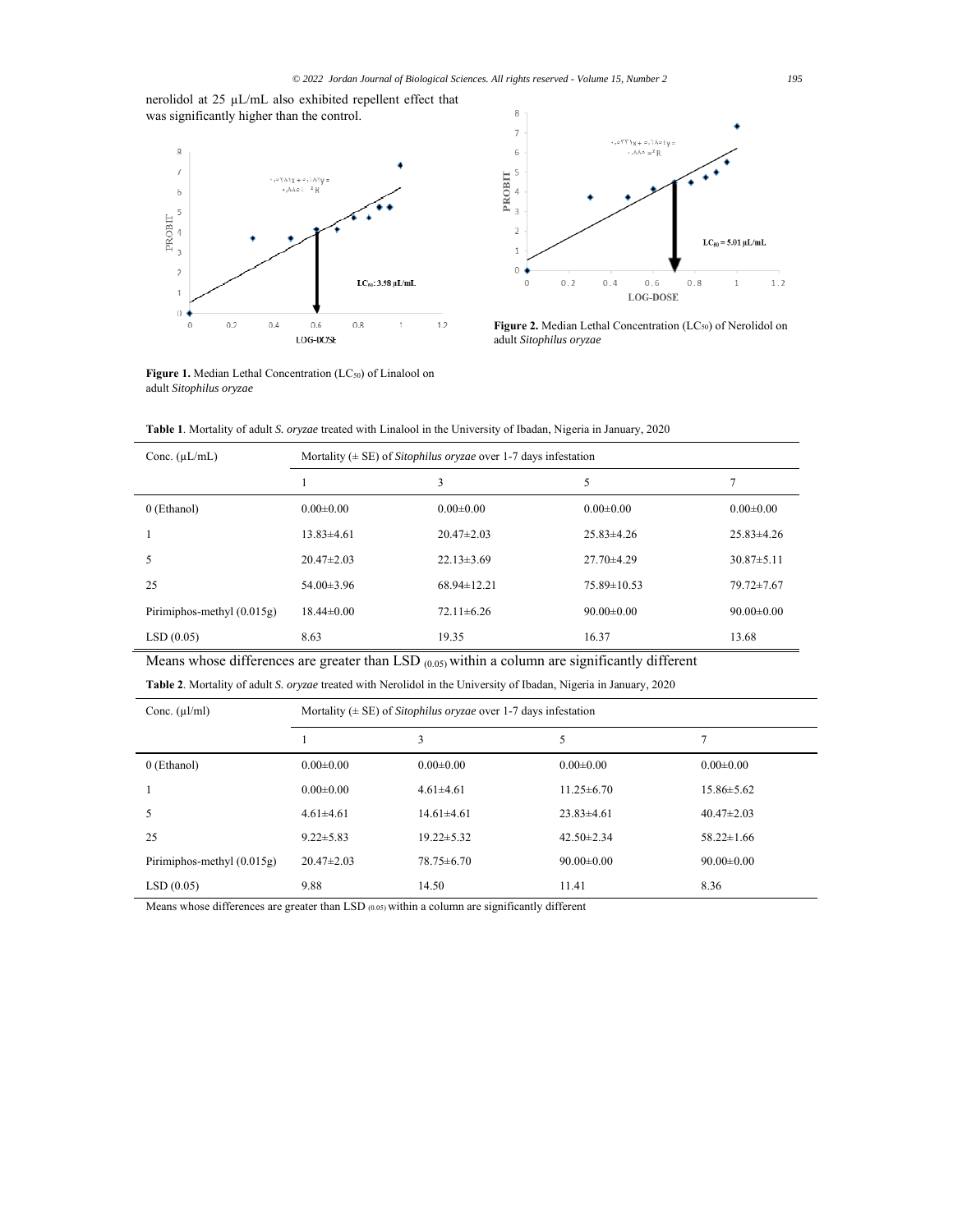nerolidol at 25 µL/mL also exhibited repellent effect that was significantly higher than the control.





Figure 2. Median Lethal Concentration (LC<sub>50</sub>) of Nerolidol on adult *Sitophilus oryzae*

Figure 1. Median Lethal Concentration (LC<sub>50</sub>) of Linalool on adult *Sitophilus oryzae* 

**Table 1**. Mortality of adult *S. oryzae* treated with Linalool in the University of Ibadan, Nigeria in January, 2020

| Conc. $(\mu L/mL)$           | Mortality ( $\pm$ SE) of <i>Sitophilus oryzae</i> over 1-7 days infestation |                  |                   |                  |  |  |
|------------------------------|-----------------------------------------------------------------------------|------------------|-------------------|------------------|--|--|
|                              |                                                                             | 3                | 5                 | 7                |  |  |
| 0 (Ethanol)                  | $0.00 \pm 0.00$                                                             | $0.00 \pm 0.00$  | $0.00 \pm 0.00$   | $0.00 \pm 0.00$  |  |  |
|                              | $13.83\pm4.61$                                                              | $20.47 \pm 2.03$ | $25.83\pm4.26$    | $25.83\pm4.26$   |  |  |
| 5                            | $20.47 \pm 2.03$                                                            | $22.13 \pm 3.69$ | $27.70\pm4.29$    | $30.87 \pm 5.11$ |  |  |
| 25                           | $54.00\pm3.96$                                                              | $68.94\pm12.21$  | $75.89 \pm 10.53$ | $79.72 \pm 7.67$ |  |  |
| Pirimiphos-methyl $(0.015g)$ | $18.44 \pm 0.00$                                                            | $72.11 \pm 6.26$ | $90.00 \pm 0.00$  | $90.00 \pm 0.00$ |  |  |
| LSD(0.05)                    | 8.63                                                                        | 19.35            | 16.37             | 13.68            |  |  |

Means whose differences are greater than LSD (0.05) within a column are significantly different

**Table 2**. Mortality of adult *S. oryzae* treated with Nerolidol in the University of Ibadan, Nigeria in January, 2020

| Conc. $(\mu l/ml)$           | Mortality ( $\pm$ SE) of Sitophilus oryzae over 1-7 days infestation |                  |                  |                  |  |  |
|------------------------------|----------------------------------------------------------------------|------------------|------------------|------------------|--|--|
|                              |                                                                      | 3                | 5                |                  |  |  |
| 0 (Ethanol)                  | $0.00 \pm 0.00$                                                      | $0.00 \pm 0.00$  | $0.00 \pm 0.00$  | $0.00 \pm 0.00$  |  |  |
|                              | $0.00 \pm 0.00$                                                      | $4.61 \pm 4.61$  | $11.25 \pm 6.70$ | $15.86 \pm 5.62$ |  |  |
|                              | $4.61 \pm 4.61$                                                      | $14.61 \pm 4.61$ | $23.83\pm4.61$   | $40.47 \pm 2.03$ |  |  |
| 25                           | $9.22 \pm 5.83$                                                      | $19.22 \pm 5.32$ | $42.50 \pm 2.34$ | $58.22 \pm 1.66$ |  |  |
| Pirimiphos-methyl $(0.015g)$ | $20.47 \pm 2.03$                                                     | $78.75 \pm 6.70$ | $90.00 \pm 0.00$ | $90.00 \pm 0.00$ |  |  |
| LSD(0.05)                    | 9.88                                                                 | 14.50            | 11.41            | 8.36             |  |  |

Means whose differences are greater than LSD (0.05) within a column are significantly different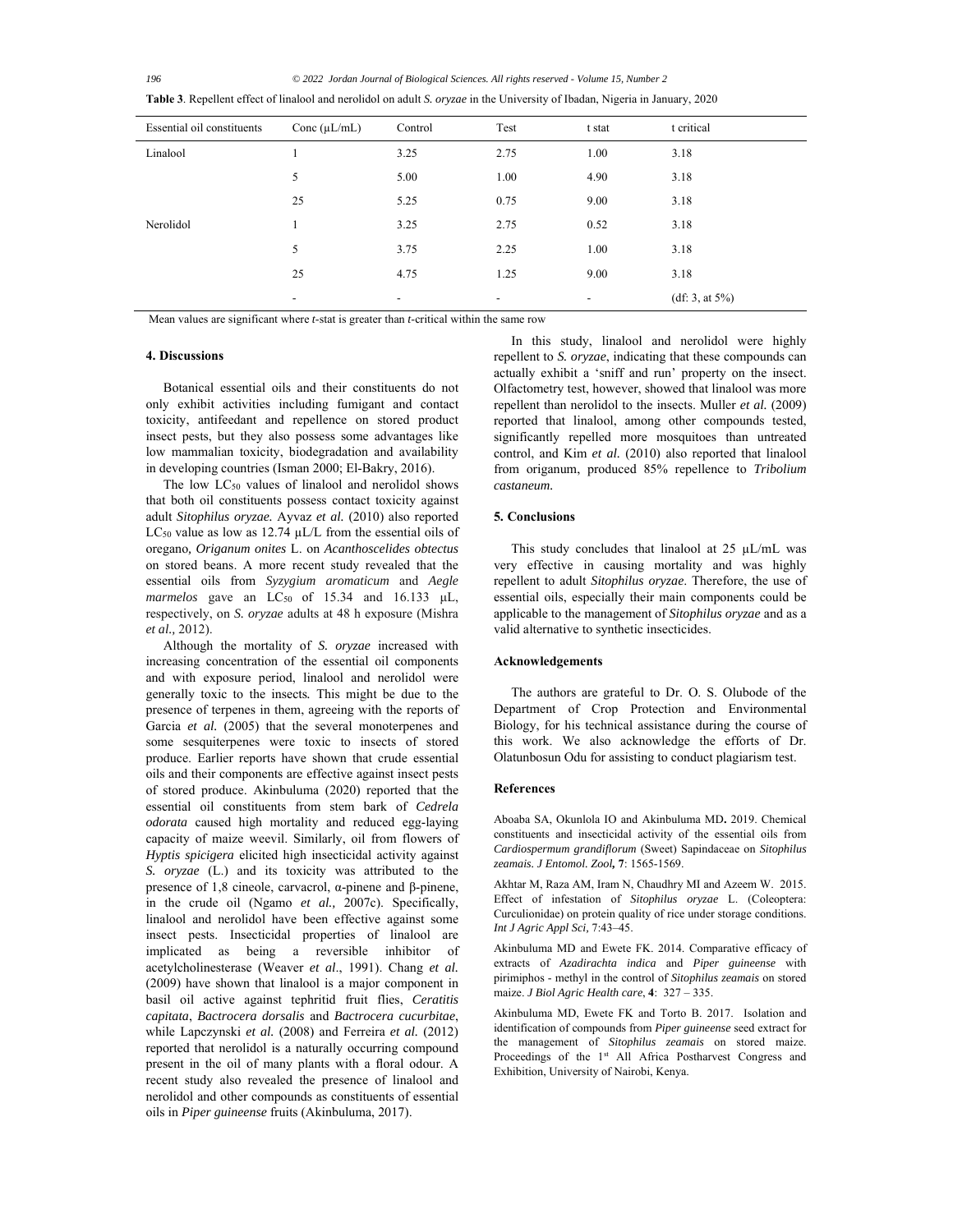*196 © 2022 Jordan Journal of Biological Sciences. All rights reserved - Volume 15, Number 2*

| Essential oil constituents | Conc $(\mu L/mL)$        | Control                  | Test                     | t stat                   | t critical         |
|----------------------------|--------------------------|--------------------------|--------------------------|--------------------------|--------------------|
| Linalool                   |                          | 3.25                     | 2.75                     | 1.00                     | 3.18               |
|                            | 5                        | 5.00                     | 1.00                     | 4.90                     | 3.18               |
|                            | 25                       | 5.25                     | 0.75                     | 9.00                     | 3.18               |
| Nerolidol                  |                          | 3.25                     | 2.75                     | 0.52                     | 3.18               |
|                            | 5                        | 3.75                     | 2.25                     | 1.00                     | 3.18               |
|                            | 25                       | 4.75                     | 1.25                     | 9.00                     | 3.18               |
|                            | $\overline{\phantom{a}}$ | $\overline{\phantom{a}}$ | $\overline{\phantom{a}}$ | $\overline{\phantom{a}}$ | (df: 3, at $5\%$ ) |

**Table 3**. Repellent effect of linalool and nerolidol on adult *S. oryzae* in the University of Ibadan, Nigeria in January, 2020

Mean values are significant where *t*-stat is greater than *t*-critical within the same row

## **4. Discussions**

Botanical essential oils and their constituents do not only exhibit activities including fumigant and contact toxicity, antifeedant and repellence on stored product insect pests, but they also possess some advantages like low mammalian toxicity, biodegradation and availability in developing countries (Isman 2000; El-Bakry, 2016).

The low LC<sub>50</sub> values of linalool and nerolidol shows that both oil constituents possess contact toxicity against adult *Sitophilus oryzae.* Ayvaz *et al.* (2010) also reported LC<sub>50</sub> value as low as 12.74 µL/L from the essential oils of oregano*, Origanum onites* L. on *Acanthoscelides obtectus*  on stored beans. A more recent study revealed that the essential oils from *Syzygium aromaticum* and *Aegle marmelos* gave an LC<sub>50</sub> of 15.34 and 16.133 μL, respectively, on *S. oryzae* adults at 48 h exposure (Mishra *et al.,* 2012).

Although the mortality of *S. oryzae* increased with increasing concentration of the essential oil components and with exposure period, linalool and nerolidol were generally toxic to the insects*.* This might be due to the presence of terpenes in them, agreeing with the reports of Garcia et al. (2005) that the several monoterpenes and some sesquiterpenes were toxic to insects of stored produce. Earlier reports have shown that crude essential oils and their components are effective against insect pests of stored produce. Akinbuluma (2020) reported that the essential oil constituents from stem bark of *Cedrela odorata* caused high mortality and reduced egg-laying capacity of maize weevil. Similarly, oil from flowers of *Hyptis spicigera* elicited high insecticidal activity against *S. oryzae* (L.) and its toxicity was attributed to the presence of 1,8 cineole, carvacrol, α-pinene and β-pinene, in the crude oil (Ngamo *et al.,* 2007c). Specifically, linalool and nerolidol have been effective against some insect pests. Insecticidal properties of linalool are implicated as being a reversible inhibitor of acetylcholinesterase (Weaver *et al*., 1991). Chang *et al.*  (2009) have shown that linalool is a major component in basil oil active against tephritid fruit flies, *Ceratitis capitata*, *Bactrocera dorsalis* and *Bactrocera cucurbitae*, while Lapczynski *et al.* (2008) and Ferreira *et al.* (2012) reported that nerolidol is a naturally occurring compound present in the oil of many plants with a floral odour. A recent study also revealed the presence of linalool and nerolidol and other compounds as constituents of essential oils in *Piper guineense* fruits (Akinbuluma, 2017).

In this study, linalool and nerolidol were highly repellent to *S. oryzae*, indicating that these compounds can actually exhibit a 'sniff and run' property on the insect. Olfactometry test, however, showed that linalool was more repellent than nerolidol to the insects. Muller *et al.* (2009) reported that linalool, among other compounds tested, significantly repelled more mosquitoes than untreated control, and Kim et al. (2010) also reported that linalool from origanum, produced 85% repellence to *Tribolium castaneum.* 

## **5. Conclusions**

This study concludes that linalool at  $25 \mu L/mL$  was very effective in causing mortality and was highly repellent to adult *Sitophilus oryzae*. Therefore, the use of essential oils, especially their main components could be applicable to the management of *Sitophilus oryzae* and as a valid alternative to synthetic insecticides.

# **Acknowledgements**

The authors are grateful to Dr. O. S. Olubode of the Department of Crop Protection and Environmental Biology, for his technical assistance during the course of this work. We also acknowledge the efforts of Dr. Olatunbosun Odu for assisting to conduct plagiarism test.

## **References**

Aboaba SA, Okunlola IO and Akinbuluma MD**.** 2019. Chemical constituents and insecticidal activity of the essential oils from *Cardiospermum grandiflorum* (Sweet) Sapindaceae on *Sitophilus zeamais. J Entomol. Zool,* **7**: 1565-1569.

Akhtar M, Raza AM, Iram N, Chaudhry MI and Azeem W. 2015. Effect of infestation of *Sitophilus oryzae* L. (Coleoptera: Curculionidae) on protein quality of rice under storage conditions. *Int J Agric Appl Sci,* 7:43–45.

Akinbuluma MD and Ewete FK. 2014. Comparative efficacy of extracts of *Azadirachta indica* and *Piper guineense* with pirimiphos - methyl in the control of *Sitophilus zeamais* on stored maize. *J Biol Agric Health care*, **4**: 327 – 335.

Akinbuluma MD, Ewete FK and Torto B. 2017. Isolation and identification of compounds from *Piper guineense* seed extract for the management of *Sitophilus zeamais* on stored maize. Proceedings of the 1<sup>st</sup> All Africa Postharvest Congress and Exhibition, University of Nairobi, Kenya.